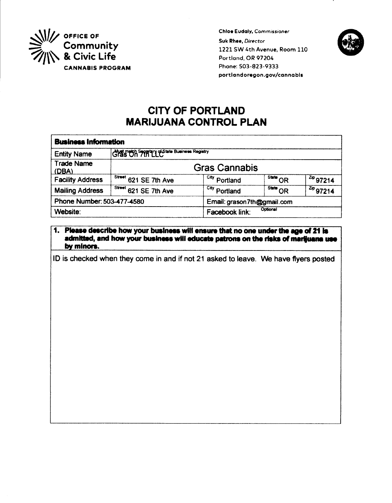

**Chioe Eudaly, Commissioner** Suk Rhee, Director 1221 SW 4th Avenue, Room 110 Portland, OR 97204 Phone: 503-823-9333 portlandoregon.gov/cannabis



# **CITY OF PORTLAND MARIJUANA CONTROL PLAN**

| <b>Business information</b> |                                               |                          |                                   |                              |  |
|-----------------------------|-----------------------------------------------|--------------------------|-----------------------------------|------------------------------|--|
| <b>Entity Name</b>          | Must match Spentry of State Business Registry |                          |                                   |                              |  |
| <b>Trade Name</b><br>(DBA)  | <b>Gras Cannabis</b>                          |                          |                                   |                              |  |
| <b>Facility Address</b>     | Street 621 SE 7th Ave                         | City<br>Portland         | $\overline{\text{Sturb}}$ OR      | $1^{2ip}97214$               |  |
| <b>Mailing Address</b>      | $5$ <sup>Treet</sup> 621 SE 7th Ave           | <sup>City</sup> Portland | $\overline{\phantom{a}}$ State OR | $\frac{z_{\text{p}}}{97214}$ |  |
| Phone Number: 503-477-4580  |                                               |                          | Email: grason7th@gmail.com        |                              |  |
| Website:                    |                                               | Facebook link:           | Optional                          |                              |  |

### 1. Please describe how your business will ensure that no one under the age of 21 is admitted, and how your business will educate patrons on the risks of marijuana use by minors.

ID is checked when they come in and if not 21 asked to leave. We have flyers posted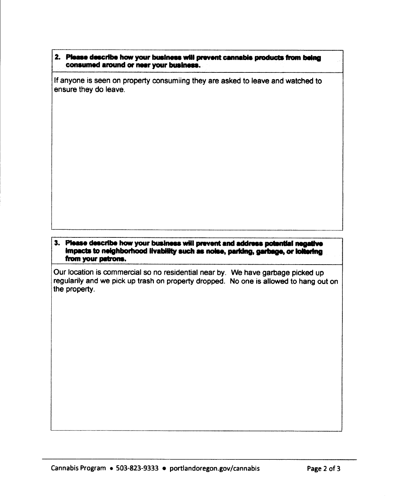# 2. Please describe how your business will prevent cannabls products from being consumed around or near your business.

lf anyone is seen on property consumiing they are asked to leave and watched to ensure they do leave.

#### 3. Please describe how your business will prevent and address potential negative impacts to neighborhood livability such as noise, parking, garbage, or lollering from your patrons.

Our location is commercial so no residential near by. We have garbage picked up regularily and we pick up trash on property dropped. No one is allowed to hang out on the property.